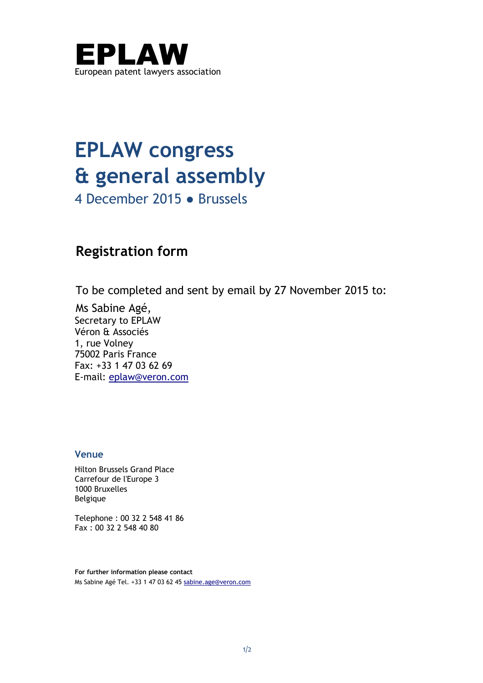

## **EPLAW congress & general assembly**

4 December 2015 ● Brussels

## **Registration form**

To be completed and sent by email by 27 November 2015 to:

Ms Sabine Agé, Secretary to EPLAW Véron & Associés 1, rue Volney 75002 Paris France Fax: +33 1 47 03 62 69 E-mail: [eplaw@veron.com](mailto:eplaw@veron.com)

## **Venue**

Hilton Brussels Grand Place Carrefour de l'Europe 3 1000 Bruxelles Belgique

Telephone : 00 32 2 548 41 86 Fax : 00 32 2 548 40 80

**For further information please contact**  Ms Sabine Agé Tel. +33 1 47 03 62 4[5 sabine.age@veron.com](mailto:sabine.age@veron.com)